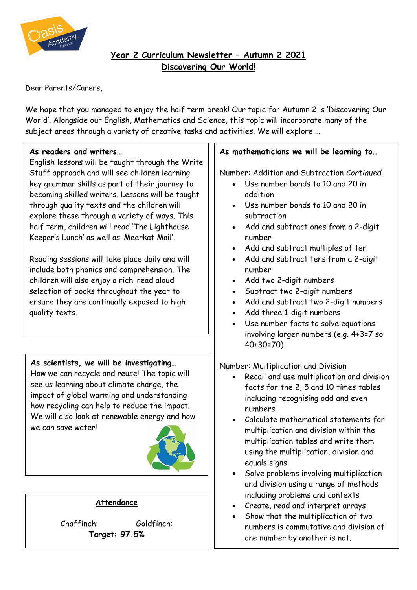

## **Year 2 Curriculum Newsletter – Autumn 2 2021 Discovering Our World!**

Dear Parents/Carers,

We hope that you managed to enjoy the half term break! Our topic for Autumn 2 is 'Discovering Our World'. Alongside our English, Mathematics and Science, this topic will incorporate many of the subject areas through a variety of creative tasks and activities. We will explore …

#### **As readers and writers…**

English lessons will be taught through the Write Stuff approach and will see children learning key grammar skills as part of their journey to becoming skilled writers. Lessons will be taught through quality texts and the children will explore these through a variety of ways. This half term, children will read 'The Lighthouse Keeper's Lunch' as well as 'Meerkat Mail'.

Reading sessions will take place daily and will include both phonics and comprehension. The children will also enjoy a rich 'read aloud' selection of books throughout the year to ensure they are continually exposed to high quality texts.

## **As scientists, we will be investigating…**

How we can recycle and reuse! The topic will see us learning about climate change, the impact of global warming and understanding how recycling can help to reduce the impact. We will also look at renewable energy and how we can save waterl



## **Attendance**

Chaffinch: Goldfinch: **Target: 97.5%**

#### **As mathematicians we will be learning to…**

Number: Addition and Subtraction *Continued*

- Use number bonds to 10 and 20 in addition
- Use number bonds to 10 and 20 in subtraction
- Add and subtract ones from a 2-digit number
- Add and subtract multiples of ten
- Add and subtract tens from a 2-digit number
- Add two 2-digit numbers
- Subtract two 2-digit numbers
- Add and subtract two 2-digit numbers
- Add three 1-digit numbers
- Use number facts to solve equations involving larger numbers (e.g. 4+3=7 so 40+30=70)

#### Number: Multiplication and Division

- Recall and use multiplication and division facts for the 2, 5 and 10 times tables including recognising odd and even numbers
- Calculate mathematical statements for multiplication and division within the multiplication tables and write them using the multiplication, division and equals signs
- Solve problems involving multiplication and division using a range of methods including problems and contexts
- Create, read and interpret arrays
- Show that the multiplication of two numbers is commutative and division of one number by another is not.